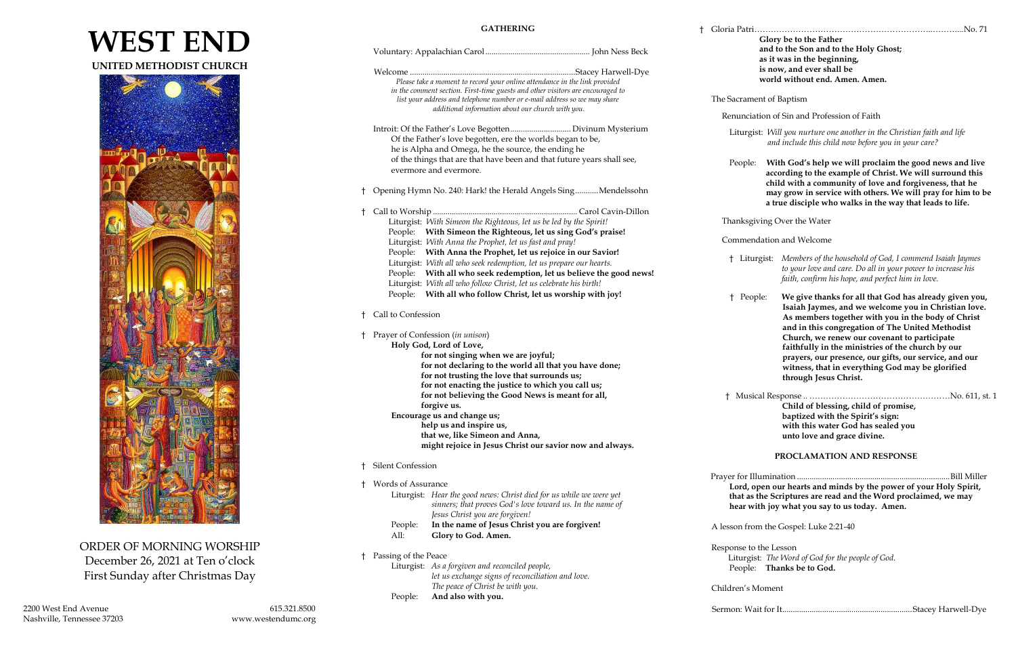# **WEST END**

**UNITED METHODIST CHURCH**



ORDER OF MORNING WORSHIP December 26, 2021 at Ten o'clock First Sunday after Christmas Day

# **GATHERING**

|  |                                                                                                                                                                                                                  | and to the Son and to the Holy Ghost;<br>as it was in the beginning,                                                                                                                       |
|--|------------------------------------------------------------------------------------------------------------------------------------------------------------------------------------------------------------------|--------------------------------------------------------------------------------------------------------------------------------------------------------------------------------------------|
|  | Please take a moment to record your online attendance in the link provided                                                                                                                                       | is now, and ever shall be<br>world without end. Amen. Amen.                                                                                                                                |
|  | in the comment section. First-time guests and other visitors are encouraged to<br>list your address and telephone number or e-mail address so we may share<br>additional information about our church with you.  | The Sacrament of Baptism                                                                                                                                                                   |
|  |                                                                                                                                                                                                                  | Renunciation of Sin and Profession of Faith                                                                                                                                                |
|  | Of the Father's love begotten, ere the worlds began to be,<br>he is Alpha and Omega, he the source, the ending he                                                                                                | Liturgist: Will you nurture one another in the Christian faith and life<br>and include this child now before you in your care?                                                             |
|  | of the things that are that have been and that future years shall see,<br>evermore and evermore.                                                                                                                 | With God's help we will proclaim the good news and live<br>People:<br>according to the example of Christ. We will surround this<br>child with a community of love and forgiveness, that he |
|  | <sup>†</sup> Opening Hymn No. 240: Hark! the Herald Angels SingMendelssohn                                                                                                                                       | may grow in service with others. We will pray for him to be<br>a true disciple who walks in the way that leads to life.                                                                    |
|  |                                                                                                                                                                                                                  |                                                                                                                                                                                            |
|  | Liturgist: With Simeon the Righteous, let us be led by the Spirit!<br>People: With Simeon the Righteous, let us sing God's praise!                                                                               | Thanksgiving Over the Water                                                                                                                                                                |
|  | Liturgist: With Anna the Prophet, let us fast and pray!<br>People: With Anna the Prophet, let us rejoice in our Savior!                                                                                          | Commendation and Welcome                                                                                                                                                                   |
|  | Liturgist: With all who seek redemption, let us prepare our hearts.<br>People: With all who seek redemption, let us believe the good news!<br>Liturgist: With all who follow Christ, let us celebrate his birth! | † Liturgist: Members of the household of God, I commend Isaiah Jaymes<br>to your love and care. Do all in your power to increase his<br>faith, confirm his hope, and perfect him in love.  |
|  | People: With all who follow Christ, let us worship with joy!                                                                                                                                                     | † People:<br>We give thanks for all that God has already given you,<br>Isaiah Jaymes, and we welcome you in Christian love.                                                                |
|  | † Call to Confession                                                                                                                                                                                             | As members together with you in the body of Christ<br>and in this congregation of The United Methodist                                                                                     |
|  | † Prayer of Confession (in unison)                                                                                                                                                                               | Church, we renew our covenant to participate                                                                                                                                               |
|  | Holy God, Lord of Love,                                                                                                                                                                                          | faithfully in the ministries of the church by our                                                                                                                                          |
|  | for not singing when we are joyful;<br>for not declaring to the world all that you have done;                                                                                                                    | prayers, our presence, our gifts, our service, and our                                                                                                                                     |
|  | for not trusting the love that surrounds us;                                                                                                                                                                     | witness, that in everything God may be glorified<br>through Jesus Christ.                                                                                                                  |
|  | for not enacting the justice to which you call us;                                                                                                                                                               |                                                                                                                                                                                            |
|  | for not believing the Good News is meant for all,                                                                                                                                                                |                                                                                                                                                                                            |
|  | forgive us.                                                                                                                                                                                                      | Child of blessing, child of promise,                                                                                                                                                       |
|  | Encourage us and change us;                                                                                                                                                                                      | baptized with the Spirit's sign:                                                                                                                                                           |
|  | help us and inspire us,<br>that we, like Simeon and Anna,                                                                                                                                                        | with this water God has sealed you                                                                                                                                                         |
|  | might rejoice in Jesus Christ our savior now and always.                                                                                                                                                         | unto love and grace divine.                                                                                                                                                                |
|  |                                                                                                                                                                                                                  | PROCLAMATION AND RESPONSE                                                                                                                                                                  |
|  | <b>Silent Confession</b>                                                                                                                                                                                         |                                                                                                                                                                                            |
|  | † Words of Assurance                                                                                                                                                                                             | Lord, open our hearts and minds by the power of your Holy Spirit,                                                                                                                          |
|  | Liturgist: Hear the good news: Christ died for us while we were yet                                                                                                                                              | that as the Scriptures are read and the Word proclaimed, we may                                                                                                                            |
|  | sinners; that proves God's love toward us. In the name of<br>Jesus Christ you are forgiven!                                                                                                                      | hear with joy what you say to us today. Amen.                                                                                                                                              |
|  | In the name of Jesus Christ you are forgiven!<br>People:<br>Glory to God. Amen.<br>All:                                                                                                                          | A lesson from the Gospel: Luke 2:21-40                                                                                                                                                     |
|  |                                                                                                                                                                                                                  | Response to the Lesson                                                                                                                                                                     |
|  | † Passing of the Peace                                                                                                                                                                                           | Liturgist: The Word of God for the people of God.                                                                                                                                          |
|  | Liturgist: As a forgiven and reconciled people,                                                                                                                                                                  | People: Thanks be to God.                                                                                                                                                                  |
|  | let us exchange signs of reconciliation and love.<br>The peace of Christ be with you.                                                                                                                            | Children's Moment                                                                                                                                                                          |
|  | And also with you.<br>People:                                                                                                                                                                                    |                                                                                                                                                                                            |
|  |                                                                                                                                                                                                                  |                                                                                                                                                                                            |

**Glory be to the Father**